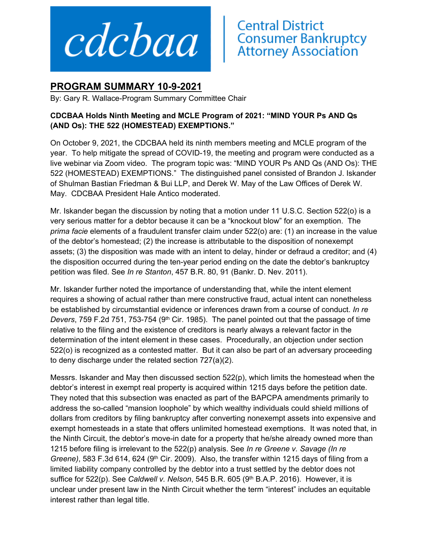

## **Central District<br>Consumer Bankruptcy<br>Attorney Association**

## **PROGRAM SUMMARY 10-9-2021**

By: Gary R. Wallace-Program Summary Committee Chair

## **CDCBAA Holds Ninth Meeting and MCLE Program of 2021: "MIND YOUR Ps AND Qs (AND Os): THE 522 (HOMESTEAD) EXEMPTIONS."**

On October 9, 2021, the CDCBAA held its ninth members meeting and MCLE program of the year. To help mitigate the spread of COVID-19, the meeting and program were conducted as a live webinar via Zoom video. The program topic was: "MIND YOUR Ps AND Qs (AND Os): THE 522 (HOMESTEAD) EXEMPTIONS." The distinguished panel consisted of Brandon J. Iskander of Shulman Bastian Friedman & Bui LLP, and Derek W. May of the Law Offices of Derek W. May. CDCBAA President Hale Antico moderated.

Mr. Iskander began the discussion by noting that a motion under 11 U.S.C. Section 522(o) is a very serious matter for a debtor because it can be a "knockout blow" for an exemption. The *prima facie* elements of a fraudulent transfer claim under 522(o) are: (1) an increase in the value of the debtor's homestead; (2) the increase is attributable to the disposition of nonexempt assets; (3) the disposition was made with an intent to delay, hinder or defraud a creditor; and (4) the disposition occurred during the ten-year period ending on the date the debtor's bankruptcy petition was filed. See *In re Stanton*, 457 B.R. 80, 91 (Bankr. D. Nev. 2011).

Mr. Iskander further noted the importance of understanding that, while the intent element requires a showing of actual rather than mere constructive fraud, actual intent can nonetheless be established by circumstantial evidence or inferences drawn from a course of conduct. *In re Devers*, 759 F.2d 751, 753-754 (9<sup>th</sup> Cir. 1985). The panel pointed out that the passage of time relative to the filing and the existence of creditors is nearly always a relevant factor in the determination of the intent element in these cases. Procedurally, an objection under section 522(o) is recognized as a contested matter. But it can also be part of an adversary proceeding to deny discharge under the related section 727(a)(2).

Messrs. Iskander and May then discussed section 522(p), which limits the homestead when the debtor's interest in exempt real property is acquired within 1215 days before the petition date. They noted that this subsection was enacted as part of the BAPCPA amendments primarily to address the so-called "mansion loophole" by which wealthy individuals could shield millions of dollars from creditors by filing bankruptcy after converting nonexempt assets into expensive and exempt homesteads in a state that offers unlimited homestead exemptions. It was noted that, in the Ninth Circuit, the debtor's move-in date for a property that he/she already owned more than 1215 before filing is irrelevant to the 522(p) analysis. See *In re Greene v. Savage (In re Greene*), 583 F.3d 614, 624 (9<sup>th</sup> Cir. 2009). Also, the transfer within 1215 days of filing from a limited liability company controlled by the debtor into a trust settled by the debtor does not suffice for 522(p). See *Caldwell v. Nelson*, 545 B.R. 605 (9<sup>th</sup> B.A.P. 2016). However, it is unclear under present law in the Ninth Circuit whether the term "interest" includes an equitable interest rather than legal title.